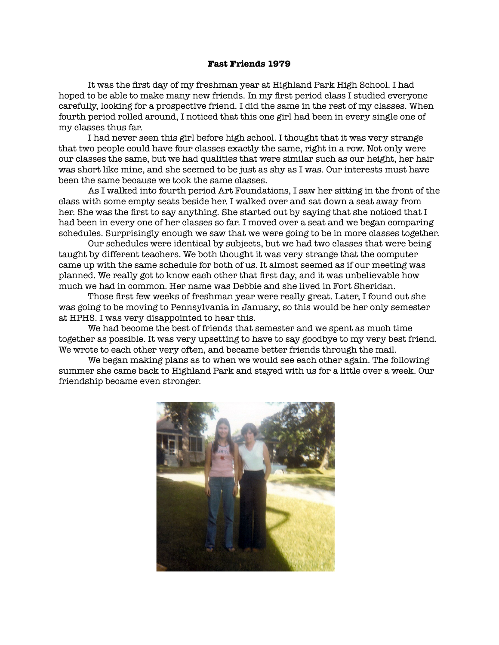## **Fast Friends 1979**

It was the first day of my freshman year at Highland Park High School. I had hoped to be able to make many new friends. In my first period class I studied everyone carefully, looking for a prospective friend. I did the same in the rest of my classes. When fourth period rolled around, I noticed that this one girl had been in every single one of my classes thus far.

I had never seen this girl before high school. I thought that it was very strange that two people could have four classes exactly the same, right in a row. Not only were our classes the same, but we had qualities that were similar such as our height, her hair was short like mine, and she seemed to be just as shy as I was. Our interests must have been the same because we took the same classes.

As I walked into fourth period Art Foundations, I saw her sitting in the front of the class with some empty seats beside her. I walked over and sat down a seat away from her. She was the first to say anything. She started out by saying that she noticed that I had been in every one of her classes so far. I moved over a seat and we began comparing schedules. Surprisingly enough we saw that we were going to be in more classes together.

Our schedules were identical by subjects, but we had two classes that were being taught by different teachers. We both thought it was very strange that the computer came up with the same schedule for both of us. It almost seemed as if our meeting was planned. We really got to know each other that first day, and it was unbelievable how much we had in common. Her name was Debbie and she lived in Fort Sheridan.

Those first few weeks of freshman year were really great. Later, I found out she was going to be moving to Pennsylvania in January, so this would be her only semester at HPHS. I was very disappointed to hear this.

We had become the best of friends that semester and we spent as much time together as possible. It was very upsetting to have to say goodbye to my very best friend. We wrote to each other very often, and became better friends through the mail.

We began making plans as to when we would see each other again. The following summer she came back to Highland Park and stayed with us for a little over a week. Our friendship became even stronger.